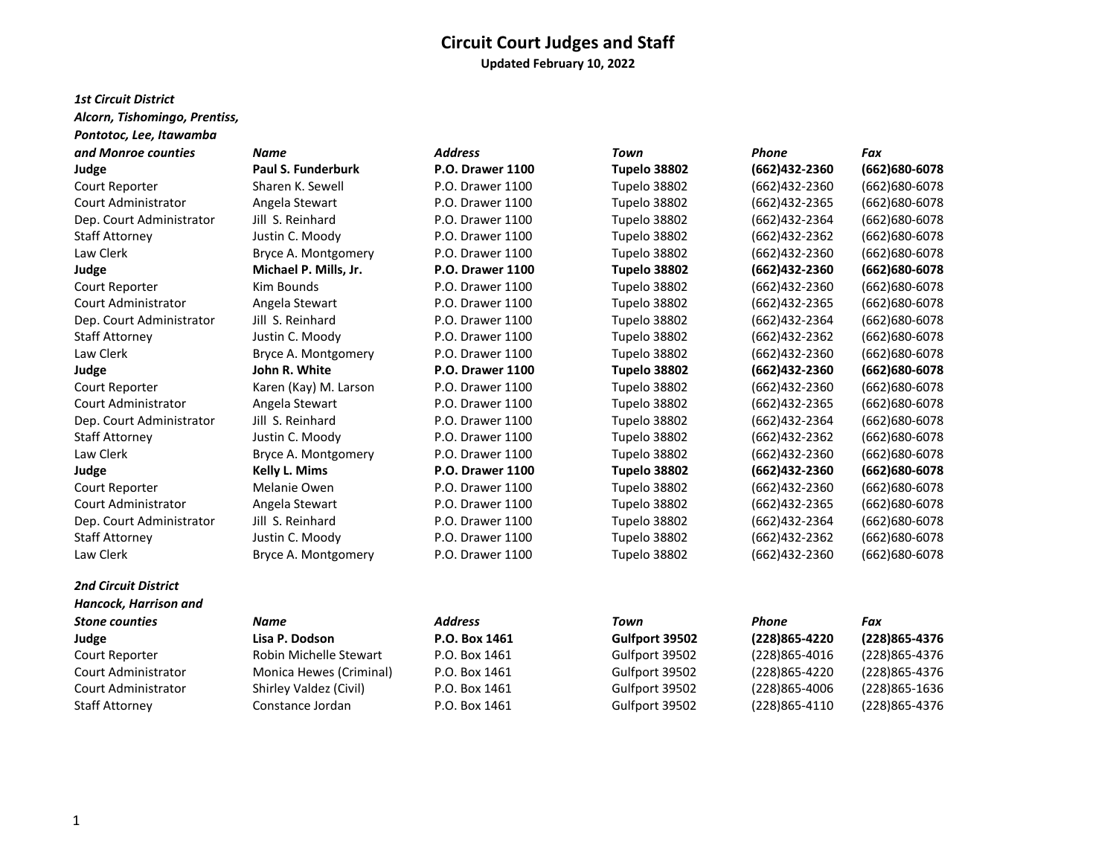# **Circuit Court Judges and Staff Updated February 10, 2022**

#### *1st Circuit District*

*Alcorn, Tishomingo, Prentiss,* 

| Pontotoc, Lee, Itawamba     |                       |                         |                |                |                   |
|-----------------------------|-----------------------|-------------------------|----------------|----------------|-------------------|
| and Monroe counties         | <b>Name</b>           | <b>Address</b>          | <b>Town</b>    | <b>Phone</b>   | Fax               |
| Judge                       | Paul S. Funderburk    | <b>P.O. Drawer 1100</b> | Tupelo 38802   | (662)432-2360  | $(662)680-6078$   |
| Court Reporter              | Sharen K. Sewell      | P.O. Drawer 1100        | Tupelo 38802   | (662)432-2360  | (662)680-6078     |
| <b>Court Administrator</b>  | Angela Stewart        | P.O. Drawer 1100        | Tupelo 38802   | (662)432-2365  | (662) 680-6078    |
| Dep. Court Administrator    | Jill S. Reinhard      | P.O. Drawer 1100        | Tupelo 38802   | (662)432-2364  | $(662)680 - 6078$ |
| <b>Staff Attorney</b>       | Justin C. Moody       | P.O. Drawer 1100        | Tupelo 38802   | (662)432-2362  | (662)680-6078     |
| Law Clerk                   | Bryce A. Montgomery   | P.O. Drawer 1100        | Tupelo 38802   | (662)432-2360  | (662) 680-6078    |
| Judge                       | Michael P. Mills, Jr. | <b>P.O. Drawer 1100</b> | Tupelo 38802   | (662)432-2360  | (662) 680-6078    |
| Court Reporter              | Kim Bounds            | P.O. Drawer 1100        | Tupelo 38802   | (662)432-2360  | (662)680-6078     |
| <b>Court Administrator</b>  | Angela Stewart        | P.O. Drawer 1100        | Tupelo 38802   | (662)432-2365  | (662)680-6078     |
| Dep. Court Administrator    | Jill S. Reinhard      | P.O. Drawer 1100        | Tupelo 38802   | (662)432-2364  | $(662)680 - 6078$ |
| <b>Staff Attorney</b>       | Justin C. Moody       | P.O. Drawer 1100        | Tupelo 38802   | (662) 432-2362 | (662)680-6078     |
| Law Clerk                   | Bryce A. Montgomery   | P.O. Drawer 1100        | Tupelo 38802   | (662)432-2360  | (662)680-6078     |
| Judge                       | John R. White         | <b>P.O. Drawer 1100</b> | Tupelo 38802   | (662)432-2360  | $(662)680-6078$   |
| Court Reporter              | Karen (Kay) M. Larson | P.O. Drawer 1100        | Tupelo 38802   | (662)432-2360  | (662)680-6078     |
| <b>Court Administrator</b>  | Angela Stewart        | P.O. Drawer 1100        | Tupelo 38802   | (662)432-2365  | (662)680-6078     |
| Dep. Court Administrator    | Jill S. Reinhard      | P.O. Drawer 1100        | Tupelo 38802   | (662)432-2364  | $(662)680 - 6078$ |
| <b>Staff Attorney</b>       | Justin C. Moody       | P.O. Drawer 1100        | Tupelo 38802   | (662)432-2362  | (662)680-6078     |
| Law Clerk                   | Bryce A. Montgomery   | P.O. Drawer 1100        | Tupelo 38802   | (662)432-2360  | (662)680-6078     |
| Judge                       | Kelly L. Mims         | <b>P.O. Drawer 1100</b> | Tupelo 38802   | (662)432-2360  | (662) 680-6078    |
| Court Reporter              | Melanie Owen          | P.O. Drawer 1100        | Tupelo 38802   | (662)432-2360  | $(662)680 - 6078$ |
| <b>Court Administrator</b>  | Angela Stewart        | P.O. Drawer 1100        | Tupelo 38802   | (662)432-2365  | $(662)680 - 6078$ |
| Dep. Court Administrator    | Jill S. Reinhard      | P.O. Drawer 1100        | Tupelo 38802   | (662)432-2364  | (662)680-6078     |
| <b>Staff Attorney</b>       | Justin C. Moody       | P.O. Drawer 1100        | Tupelo 38802   | (662)432-2362  | $(662)680 - 6078$ |
| Law Clerk                   | Bryce A. Montgomery   | P.O. Drawer 1100        | Tupelo 38802   | (662)432-2360  | (662)680-6078     |
| <b>2nd Circuit District</b> |                       |                         |                |                |                   |
| Hancock, Harrison and       |                       |                         |                |                |                   |
| <b>Stone counties</b>       | <b>Name</b>           | <b>Address</b>          | Town           | <b>Phone</b>   | Fax               |
| Judge                       | Lisa P. Dodson        | P.O. Box 1461           | Gulfport 39502 | (228)865-4220  | (228) 865-4376    |

Court Reporter Robin Michelle Stewart P.O. Box 1461 Gulfport 39502 (228)865-4016 (228)865-4376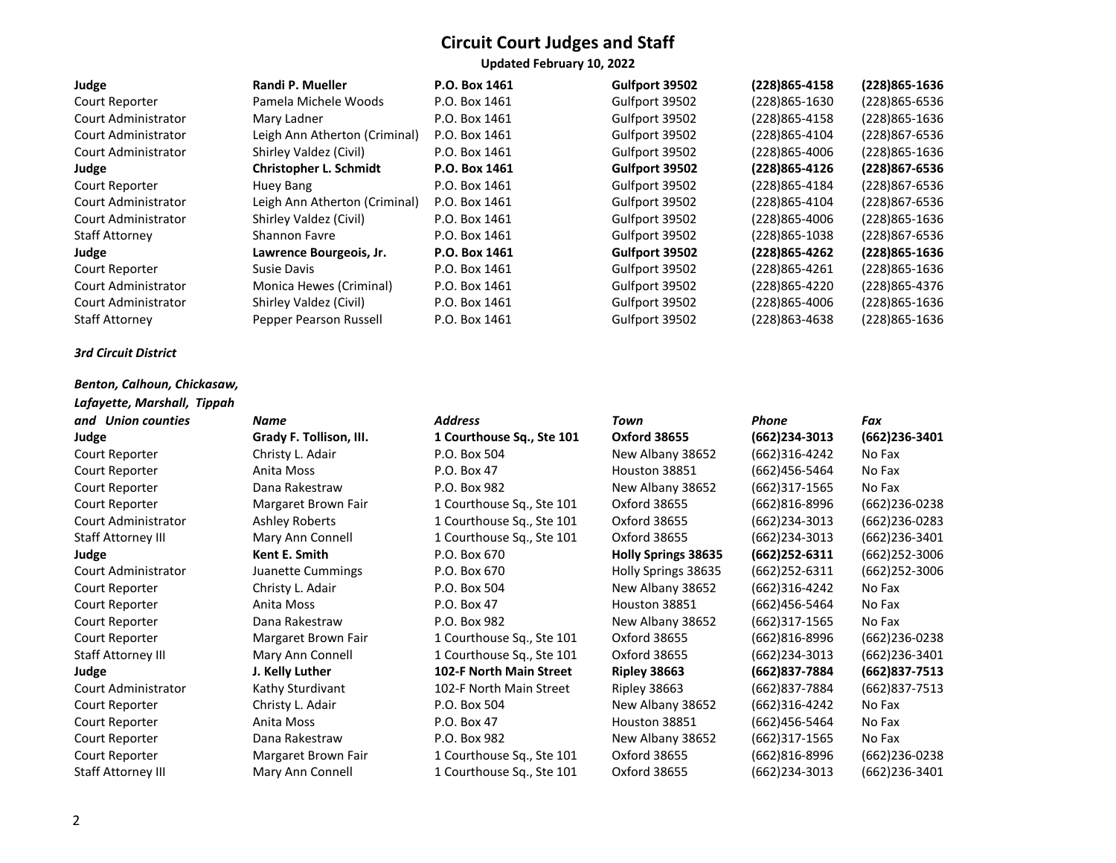#### *3rd Circuit District*

#### *Benton, Calhoun, Chickasaw, Lafayette, Marshall, Tippah*

| and Union counties        | Name                    | <b>Address</b>            | Town                       | Phone            | Fax               |
|---------------------------|-------------------------|---------------------------|----------------------------|------------------|-------------------|
| Judge                     | Grady F. Tollison, III. | 1 Courthouse Sq., Ste 101 | <b>Oxford 38655</b>        | (662)234-3013    | $(662)$ 236-3401  |
| Court Reporter            | Christy L. Adair        | P.O. Box 504              | New Albany 38652           | (662)316-4242    | No Fax            |
| Court Reporter            | Anita Moss              | P.O. Box 47               | Houston 38851              | (662)456-5464    | No Fax            |
| Court Reporter            | Dana Rakestraw          | P.O. Box 982              | New Albany 38652           | (662)317-1565    | No Fax            |
| Court Reporter            | Margaret Brown Fair     | 1 Courthouse Sq., Ste 101 | Oxford 38655               | (662)816-8996    | (662)236-0238     |
| Court Administrator       | Ashley Roberts          | 1 Courthouse Sq., Ste 101 | Oxford 38655               | (662)234-3013    | (662)236-0283     |
| <b>Staff Attorney III</b> | Mary Ann Connell        | 1 Courthouse Sq., Ste 101 | Oxford 38655               | $(662)$ 234-3013 | (662)236-3401     |
| Judge                     | Kent E. Smith           | P.O. Box 670              | <b>Holly Springs 38635</b> | $(662)252-6311$  | (662)252-3006     |
| Court Administrator       | Juanette Cummings       | P.O. Box 670              | Holly Springs 38635        | $(662)$ 252-6311 | (662)252-3006     |
| Court Reporter            | Christy L. Adair        | P.O. Box 504              | New Albany 38652           | (662)316-4242    | No Fax            |
| Court Reporter            | Anita Moss              | P.O. Box 47               | Houston 38851              | (662)456-5464    | No Fax            |
| Court Reporter            | Dana Rakestraw          | P.O. Box 982              | New Albany 38652           | (662)317-1565    | No Fax            |
| Court Reporter            | Margaret Brown Fair     | 1 Courthouse Sq., Ste 101 | Oxford 38655               | (662)816-8996    | (662)236-0238     |
| <b>Staff Attorney III</b> | Mary Ann Connell        | 1 Courthouse Sq., Ste 101 | Oxford 38655               | (662)234-3013    | (662)236-3401     |
| Judge                     | J. Kelly Luther         | 102-F North Main Street   | <b>Ripley 38663</b>        | (662) 837-7884   | $(662)837 - 7513$ |
| Court Administrator       | Kathy Sturdivant        | 102-F North Main Street   | Ripley 38663               | (662)837-7884    | (662)837-7513     |
| Court Reporter            | Christy L. Adair        | P.O. Box 504              | New Albany 38652           | (662)316-4242    | No Fax            |
| Court Reporter            | Anita Moss              | P.O. Box 47               | Houston 38851              | (662)456-5464    | No Fax            |
| Court Reporter            | Dana Rakestraw          | P.O. Box 982              | New Albany 38652           | (662)317-1565    | No Fax            |
| Court Reporter            | Margaret Brown Fair     | 1 Courthouse Sq., Ste 101 | Oxford 38655               | (662)816-8996    | (662)236-0238     |
| <b>Staff Attorney III</b> | Mary Ann Connell        | 1 Courthouse Sq., Ste 101 | Oxford 38655               | (662)234-3013    | (662)236-3401     |

# **Judge Grady F. Tollison, III. 1 Courthouse Sq., Ste 101 Oxford 38655 (662)234-3013 (662)236-3401** Court Reporter Margaret Brown Fair 1 Courthouse Sq., Ste 101 Oxford 38655 (662)816-8996 (662)236-0238 Court Administrator Ashley Roberts 1 Courthouse Sq., Ste 101 Oxford 38655 (662)234-3013 (662)236-0283 Staff Attorney III Mary Ann Connell 1 Courthouse Sq., Ste 101 Oxford 38655 (662)234-3013 (662)236-3401 **Judge Kent E. Smith** P.O. Box 670 **Holly Springs 38635 (662)252-6311** (662)252-3006 Court Administrator Juanette Cummings P.O. Box 670 Holly Springs 38635 (662)252-6311 (662)252-3006 Court Reporter Margaret Brown Fair 1 Courthouse Sq., Ste 101 Oxford 38655 (662)816-8996 (662)236-0238 Staff Attorney III Mary Ann Connell 1 Courthouse Sq., Ste 101 Oxford 38655 (662)234-3013 (662)236-3401 **Judge J. Kelly Luther 102-F North Main Street Ripley 38663 (662)837-7884 (662)837-7513** Court Administrator Kathy Sturdivant 102-F North Main Street Ripley 38663 (662)837-7884 (662)837-7513 Court Reporter Margaret Brown Fair 1 Courthouse Sq., Ste 101 Oxford 38655 (662)816-8996 (662)236-0238

|                     | Updated February 10, 2022     |               |                |                |                |
|---------------------|-------------------------------|---------------|----------------|----------------|----------------|
| Judge               | Randi P. Mueller              | P.O. Box 1461 | Gulfport 39502 | (228)865-4158  | (228)865-1636  |
| Court Reporter      | Pamela Michele Woods          | P.O. Box 1461 | Gulfport 39502 | (228)865-1630  | (228) 865-6536 |
| Court Administrator | Mary Ladner                   | P.O. Box 1461 | Gulfport 39502 | (228) 865-4158 | (228) 865-1636 |
| Court Administrator | Leigh Ann Atherton (Criminal) | P.O. Box 1461 | Gulfport 39502 | (228)865-4104  | (228)867-6536  |
| Court Administrator | Shirley Valdez (Civil)        | P.O. Box 1461 | Gulfport 39502 | (228)865-4006  | (228) 865-1636 |
| Judge               | <b>Christopher L. Schmidt</b> | P.O. Box 1461 | Gulfport 39502 | (228)865-4126  | (228)867-6536  |
| Court Reporter      | Huey Bang                     | P.O. Box 1461 | Gulfport 39502 | (228)865-4184  | (228)867-6536  |
| Court Administrator | Leigh Ann Atherton (Criminal) | P.O. Box 1461 | Gulfport 39502 | (228)865-4104  | (228)867-6536  |
| Court Administrator | Shirley Valdez (Civil)        | P.O. Box 1461 | Gulfport 39502 | (228)865-4006  | (228) 865-1636 |
| Staff Attorney      | <b>Shannon Favre</b>          | P.O. Box 1461 | Gulfport 39502 | (228)865-1038  | (228)867-6536  |
| Judge               | Lawrence Bourgeois, Jr.       | P.O. Box 1461 | Gulfport 39502 | (228)865-4262  | (228) 865-1636 |
| Court Reporter      | Susie Davis                   | P.O. Box 1461 | Gulfport 39502 | (228)865-4261  | (228) 865-1636 |
| Court Administrator | Monica Hewes (Criminal)       | P.O. Box 1461 | Gulfport 39502 | (228)865-4220  | (228)865-4376  |
| Court Administrator | Shirley Valdez (Civil)        | P.O. Box 1461 | Gulfport 39502 | (228)865-4006  | (228) 865-1636 |
| Staff Attorney      | Pepper Pearson Russell        | P.O. Box 1461 | Gulfport 39502 | (228)863-4638  | (228)865-1636  |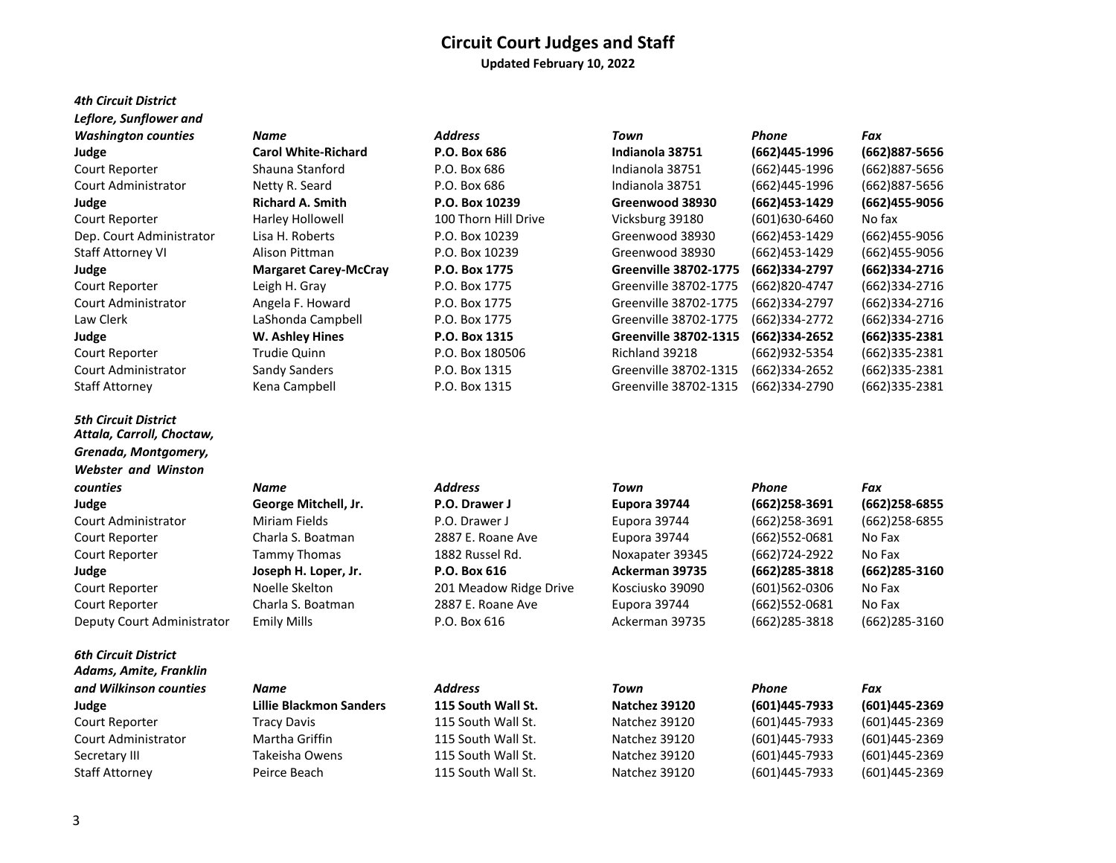#### **Circuit Court Judges and Staff Updated February 10, 2022**

# *4th Circuit District Leflore, Sunflower and*

*5th Circuit District Attala, Carroll, Choctaw, Grenada, Montgomery, Webster and Winston* 

#### *6th Circuit District Adams, Amite, Franklin*

# *Washington counties Name Phone Address* Court Reporter **Harley Hollowell** 100 Thorn Hill Drive

| <b>Washington counties</b> | Name                         | <b>Address</b>       | Town                         | Phone         | Fax               |
|----------------------------|------------------------------|----------------------|------------------------------|---------------|-------------------|
| Judge                      | <b>Carol White-Richard</b>   | P.O. Box 686         | Indianola 38751              | (662)445-1996 | (662)887-5656     |
| Court Reporter             | Shauna Stanford              | P.O. Box 686         | Indianola 38751              | (662)445-1996 | (662)887-5656     |
| Court Administrator        | Netty R. Seard               | P.O. Box 686         | Indianola 38751              | (662)445-1996 | (662)887-5656     |
| Judge                      | <b>Richard A. Smith</b>      | P.O. Box 10239       | Greenwood 38930              | (662)453-1429 | (662)455-9056     |
| Court Reporter             | Harley Hollowell             | 100 Thorn Hill Drive | Vicksburg 39180              | (601)630-6460 | No fax            |
| Dep. Court Administrator   | Lisa H. Roberts              | P.O. Box 10239       | Greenwood 38930              | (662)453-1429 | (662)455-9056     |
| <b>Staff Attorney VI</b>   | Alison Pittman               | P.O. Box 10239       | Greenwood 38930              | (662)453-1429 | (662)455-9056     |
| Judge                      | <b>Margaret Carey-McCray</b> | P.O. Box 1775        | <b>Greenville 38702-1775</b> | (662)334-2797 | (662)334-2716     |
| Court Reporter             | Leigh H. Gray                | P.O. Box 1775        | Greenville 38702-1775        | (662)820-4747 | (662)334-2716     |
| Court Administrator        | Angela F. Howard             | P.O. Box 1775        | Greenville 38702-1775        | (662)334-2797 | (662)334-2716     |
| Law Clerk                  | LaShonda Campbell            | P.O. Box 1775        | Greenville 38702-1775        | (662)334-2772 | (662)334-2716     |
| Judge                      | W. Ashley Hines              | P.O. Box 1315        | <b>Greenville 38702-1315</b> | (662)334-2652 | (662)335-2381     |
| Court Reporter             | Trudie Quinn                 | P.O. Box 180506      | Richland 39218               | (662)932-5354 | (662)335-2381     |
| Court Administrator        | Sandy Sanders                | P.O. Box 1315        | Greenville 38702-1315        | (662)334-2652 | $(662)335 - 2381$ |
| <b>Staff Attorney</b>      | Kena Campbell                | P.O. Box 1315        | Greenville 38702-1315        | (662)334-2790 | (662)335-2381     |
|                            |                              |                      |                              |               |                   |

| counties                   | Name                 | <b>Address</b>         | Town            | Phone            | Fax           |
|----------------------------|----------------------|------------------------|-----------------|------------------|---------------|
| Judge                      | George Mitchell, Jr. | P.O. Drawer J          | Eupora 39744    | $(662)$ 258-3691 | (662)258-6855 |
| Court Administrator        | Miriam Fields        | P.O. Drawer J          | Eupora 39744    | $(662)$ 258-3691 | (662)258-6855 |
| Court Reporter             | Charla S. Boatman    | 2887 E. Roane Ave      | Eupora 39744    | $(662)$ 552-0681 | No Fax        |
| Court Reporter             | Tammy Thomas         | 1882 Russel Rd.        | Noxapater 39345 | (662)724-2922    | No Fax        |
| Judge                      | Joseph H. Loper, Jr. | P.O. Box 616           | Ackerman 39735  | (662)285-3818    | (662)285-3160 |
| Court Reporter             | Noelle Skelton       | 201 Meadow Ridge Drive | Kosciusko 39090 | (601)562-0306    | No Fax        |
| Court Reporter             | Charla S. Boatman    | 2887 E. Roane Ave      | Eupora 39744    | $(662)$ 552-0681 | No Fax        |
| Deputy Court Administrator | <b>Emily Mills</b>   | P.O. Box 616           | Ackerman 39735  | $(662)$ 285-3818 | (662)285-3160 |

| Eupora 39744          |
|-----------------------|
| Eupora 39744          |
| Eupora 39744          |
| Noxapater 39345       |
| <b>Ackerman 39735</b> |
| Kosciusko 39090       |
| Eupora 39744          |
| Ackerman 39735        |



| and Wilkinson counties | Name                    | Address            | Town          | Phone         | Fax           |
|------------------------|-------------------------|--------------------|---------------|---------------|---------------|
| Judge                  | Lillie Blackmon Sanders | 115 South Wall St. | Natchez 39120 | (601)445-7933 | (601)445-2369 |
| Court Reporter         | Tracy Davis             | 115 South Wall St. | Natchez 39120 | (601)445-7933 | (601)445-2369 |
| Court Administrator    | Martha Griffin          | 115 South Wall St. | Natchez 39120 | (601)445-7933 | (601)445-2369 |
| Secretary III          | Takeisha Owens          | 115 South Wall St. | Natchez 39120 | (601)445-7933 | (601)445-2369 |
| Staff Attornev         | Peirce Beach            | 115 South Wall St. | Natchez 39120 | (601)445-7933 | (601)445-2369 |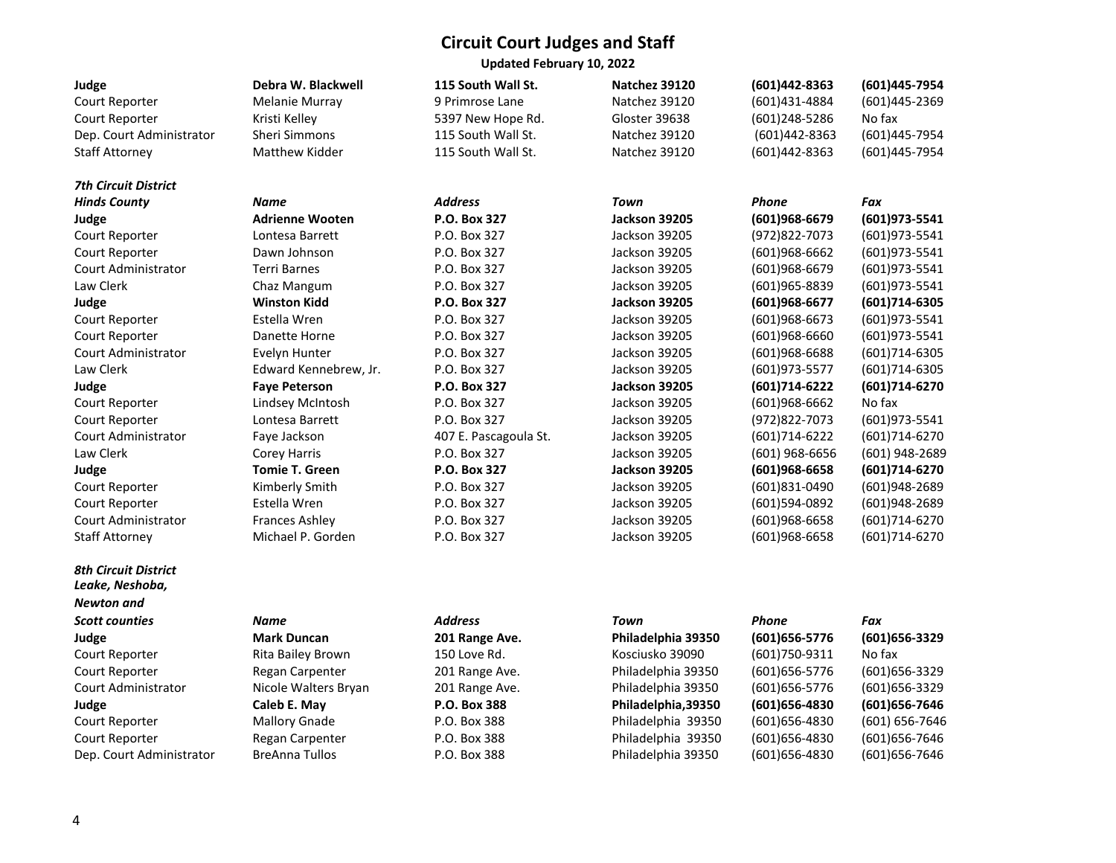**Updated February 10, 2022** 

| Judge                                          | Debra W. Blackwell     | 115 South Wall St.    | Natchez 39120        | (601)442-8363   | (601)445-7954     |
|------------------------------------------------|------------------------|-----------------------|----------------------|-----------------|-------------------|
| Court Reporter                                 | <b>Melanie Murray</b>  | 9 Primrose Lane       | Natchez 39120        | (601)431-4884   | (601)445-2369     |
| Court Reporter                                 | Kristi Kelley          | 5397 New Hope Rd.     | Gloster 39638        | (601)248-5286   | No fax            |
| Dep. Court Administrator                       | <b>Sheri Simmons</b>   | 115 South Wall St.    | Natchez 39120        | (601)442-8363   | (601)445-7954     |
| <b>Staff Attorney</b>                          | Matthew Kidder         | 115 South Wall St.    | Natchez 39120        | (601)442-8363   | (601)445-7954     |
| <b>7th Circuit District</b>                    |                        |                       |                      |                 |                   |
| <b>Hinds County</b>                            | Name                   | <b>Address</b>        | <b>Town</b>          | Phone           | Fax               |
| Judge                                          | <b>Adrienne Wooten</b> | P.O. Box 327          | <b>Jackson 39205</b> | (601)968-6679   | (601) 973-5541    |
| Court Reporter                                 | Lontesa Barrett        | P.O. Box 327          | Jackson 39205        | (972) 822-7073  | (601) 973-5541    |
| Court Reporter                                 | Dawn Johnson           | P.O. Box 327          | Jackson 39205        | (601)968-6662   | (601) 973-5541    |
| <b>Court Administrator</b>                     | <b>Terri Barnes</b>    | P.O. Box 327          | Jackson 39205        | (601)968-6679   | (601) 973-5541    |
| Law Clerk                                      | Chaz Mangum            | P.O. Box 327          | Jackson 39205        | (601)965-8839   | (601) 973-5541    |
| Judge                                          | <b>Winston Kidd</b>    | P.O. Box 327          | Jackson 39205        | (601)968-6677   | (601)714-6305     |
| Court Reporter                                 | Estella Wren           | P.O. Box 327          | Jackson 39205        | $(601)968-6673$ | $(601)973 - 5541$ |
| Court Reporter                                 | Danette Horne          | P.O. Box 327          | Jackson 39205        | (601)968-6660   | (601) 973-5541    |
| <b>Court Administrator</b>                     | Evelyn Hunter          | P.O. Box 327          | Jackson 39205        | (601)968-6688   | $(601)714-6305$   |
| Law Clerk                                      | Edward Kennebrew, Jr.  | P.O. Box 327          | Jackson 39205        | (601) 973-5577  | $(601)714-6305$   |
| Judge                                          | <b>Faye Peterson</b>   | P.O. Box 327          | Jackson 39205        | (601)714-6222   | (601)714-6270     |
| Court Reporter                                 | Lindsey McIntosh       | P.O. Box 327          | Jackson 39205        | (601)968-6662   | No fax            |
| Court Reporter                                 | Lontesa Barrett        | P.O. Box 327          | Jackson 39205        | (972) 822-7073  | (601)973-5541     |
| Court Administrator                            | Faye Jackson           | 407 E. Pascagoula St. | Jackson 39205        | (601)714-6222   | (601)714-6270     |
| Law Clerk                                      | <b>Corey Harris</b>    | P.O. Box 327          | Jackson 39205        | (601) 968-6656  | (601) 948-2689    |
| Judge                                          | <b>Tomie T. Green</b>  | P.O. Box 327          | Jackson 39205        | (601)968-6658   | (601)714-6270     |
| Court Reporter                                 | Kimberly Smith         | P.O. Box 327          | Jackson 39205        | (601)831-0490   | (601)948-2689     |
| Court Reporter                                 | Estella Wren           | P.O. Box 327          | Jackson 39205        | (601)594-0892   | (601)948-2689     |
| Court Administrator                            | <b>Frances Ashley</b>  | P.O. Box 327          | Jackson 39205        | (601)968-6658   | (601)714-6270     |
| <b>Staff Attorney</b>                          | Michael P. Gorden      | P.O. Box 327          | Jackson 39205        | (601)968-6658   | (601)714-6270     |
| <b>8th Circuit District</b><br>Leake, Neshoba, |                        |                       |                      |                 |                   |
| <b>Newton</b> and                              |                        |                       |                      |                 |                   |
| <b>Scott counties</b>                          | Name                   | <b>Address</b>        | Town                 | Phone           | Fax               |
| Judge                                          | <b>Mark Duncan</b>     | 201 Range Ave.        | Philadelphia 39350   | (601) 656-5776  | (601) 656-3329    |
| Court Reporter                                 | Rita Bailey Brown      | 150 Love Rd.          | Kosciusko 39090      | (601) 750-9311  | No fax            |
| Court Reporter                                 | Regan Carpenter        | 201 Range Ave.        | Philadelphia 39350   | (601) 656-5776  | (601) 656-3329    |
| Court Administrator                            | Nicole Walters Bryan   | 201 Range Ave.        | Philadelphia 39350   | (601) 656-5776  | (601) 656-3329    |
| Judge                                          | Caleb E. May           | P.O. Box 388          | Philadelphia, 39350  | (601) 656-4830  | (601) 656-7646    |
| Court Reporter                                 | <b>Mallory Gnade</b>   | P.O. Box 388          | Philadelphia 39350   | (601) 656-4830  | (601) 656-7646    |
| Court Reporter                                 | Regan Carpenter        | P.O. Box 388          | Philadelphia 39350   | (601) 656-4830  | (601) 656-7646    |
| Dep. Court Administrator                       | <b>BreAnna Tullos</b>  | P.O. Box 388          | Philadelphia 39350   | (601) 656-4830  | (601) 656-7646    |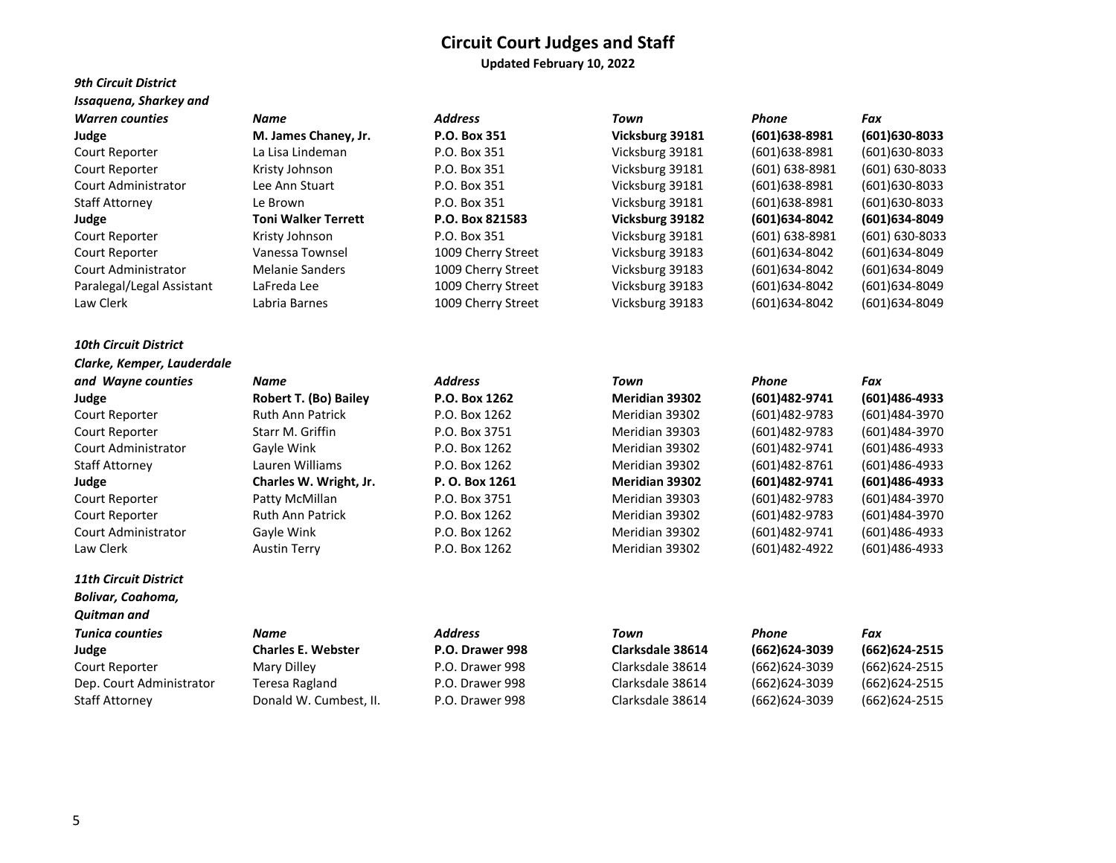**Updated February 10, 2022** 

#### *9th Circuit District Issaquena, Sharkey and*

| <b>Warren counties</b>    | Name                       | <b>Address</b>     | Town            | Phone           | Fax                |
|---------------------------|----------------------------|--------------------|-----------------|-----------------|--------------------|
| Judge                     | M. James Chaney, Jr.       | P.O. Box 351       | Vicksburg 39181 | $(601)638-8981$ | (601) 630-8033     |
| Court Reporter            | La Lisa Lindeman           | P.O. Box 351       | Vicksburg 39181 | (601)638-8981   | $(601)630-8033$    |
| Court Reporter            | Kristy Johnson             | P.O. Box 351       | Vicksburg 39181 | (601) 638-8981  | $(601) 630 - 8033$ |
| Court Administrator       | Lee Ann Stuart             | P.O. Box 351       | Vicksburg 39181 | (601)638-8981   | $(601)630-8033$    |
| Staff Attorney            | Le Brown                   | P.O. Box 351       | Vicksburg 39181 | (601)638-8981   | $(601)630-8033$    |
| Judge                     | <b>Toni Walker Terrett</b> | P.O. Box 821583    | Vicksburg 39182 | (601) 634-8042  | (601) 634-8049     |
| Court Reporter            | Kristy Johnson             | P.O. Box 351       | Vicksburg 39181 | (601) 638-8981  | $(601) 630 - 8033$ |
| Court Reporter            | Vanessa Townsel            | 1009 Cherry Street | Vicksburg 39183 | (601)634-8042   | (601)634-8049      |
| Court Administrator       | <b>Melanie Sanders</b>     | 1009 Cherry Street | Vicksburg 39183 | (601)634-8042   | (601)634-8049      |
| Paralegal/Legal Assistant | LaFreda Lee                | 1009 Cherry Street | Vicksburg 39183 | (601)634-8042   | (601)634-8049      |
| Law Clerk                 | Labria Barnes              | 1009 Cherry Street | Vicksburg 39183 | (601)634-8042   | (601)634-8049      |

# *Clarke, Kemper, Lauderdale*

Law Clerk Austin Terry P.O. Box 1262 Meridian 39302 (601)482-4922 (601)486-4933

*10th Circuit District* 

# *11th Circuit District*

*Bolivar, Coahoma, Quitman and* 

### *and Wayne counties Name Address Town Phone Fax* **Judge Robert T. (Bo) Bailey P.O. Box 1262 Meridian 39302 (601)482-9741 (601)486-4933** Court Reporter Ruth Ann Patrick P.O. Box 1262 Meridian 39302 (601)482-9783 (601)484-3970 Court Reporter Starr M. Griffin P.O. Box 3751 Meridian 39303 (601)482-9783 (601)484-3970 Court Administrator Gayle Wink P.O. Box 1262 Meridian 39302 (601)482-9741 (601)486-4933 Staff Attorney Lauren Williams P.O. Box 1262 Meridian 39302 (601)482-8761 (601)486-4933 **Judge Charles W. Wright, Jr. P. O. Box 1261 Meridian 39302 (601)482-9741 (601)486-4933** Court Reporter Patty McMillan P.O. Box 3751 Meridian 39303 (601)482-9783 (601)484-3970 Court Reporter Ruth Ann Patrick P.O. Box 1262 Meridian 39302 (601)482-9783 (601)484-3970 Court Administrator Gayle Wink P.O. Box 1262 Meridian 39302 (601)482-9741 (601)486-4933

#### *Tunica counties Name Address Town Phone Fax* **Judge Charles E. Webster P.O. Drawer 998 Clarksdale 38614 (662)624-3039 (662)624-2515** Court Reporter Mary Dilley P.O. Drawer 998 Clarksdale 38614 (662)624-3039 (662)624-2515 Dep. Court Administrator Teresa Ragland P.O. Drawer 998 Clarksdale 38614 (662)624-3039 (662)624-2515 Staff Attorney Donald W. Cumbest, II. P.O. Drawer 998 Clarksdale 38614 (662)624-3039 (662)624-2515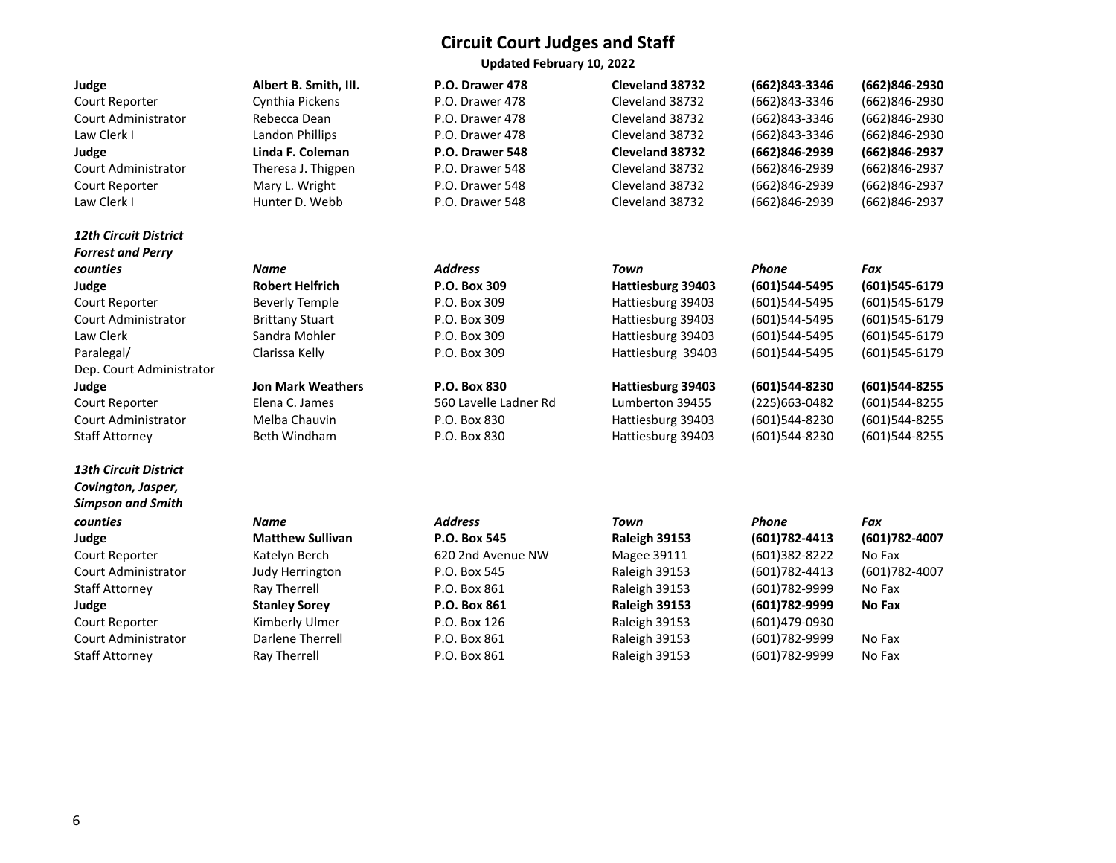**Updated February 10, 2022** 

| ×<br>۰<br>۰.<br>٧ |  |
|-------------------|--|
|-------------------|--|

#### *12th Circuit District Forrest and Perry*

*13th Circuit District Covington, Jasper, Simpson and Smith*  Court Administrator Darlene Therrell P.O. Box 861 Box 861 Box 861 Box 861 Box 861 Box 861 Box 861 Box 861 Box 861 Box 861 Box 861 Box 861 Box 861 Box 861 Box 861 Box 861 Box 861 Box 861 Box 861 Box 861 Box 861 Box 861 Box

**Judge Albert B. Smith, III. P.O. Drawer 478 Cleveland 38732 (662)843-3346 (662)846-2930** Court Reporter Cynthia Pickens P.O. Drawer 478 Cleveland 38732 (662)843-3346 (662)846-2930 Court Administrator Rebecca Dean P.O. Drawer 478 Cleveland 38732 (662)843-3346 (662)846-2930 Law Clerk I Landon Phillips P.O. Drawer 478 Cleveland 38732 (662)843-3346 (662)846-2930 **Judge Linda F. Coleman P.O. Drawer 548 Cleveland 38732 (662)846-2939 (662)846-2937** Court Administrator Theresa J. Thigpen P.O. Drawer 548 Cleveland 38732 (662)846-2939 (662)846-2937 Court Reporter Mary L. Wright P.O. Drawer 548 Cleveland 38732 (662)846-2939 (662)846-2937 Law Clerk I Hunter D. Webb P.O. Drawer 548 Cleveland 38732 (662)846-2939 (662)846-2937

| Name                     | <b>Address</b>        | Town              | Phone            | Fax              |
|--------------------------|-----------------------|-------------------|------------------|------------------|
| <b>Robert Helfrich</b>   | P.O. Box 309          | Hattiesburg 39403 | (601)544-5495    | (601)545-6179    |
| Beverly Temple           | P.O. Box 309          | Hattiesburg 39403 | (601)544-5495    | (601)545-6179    |
| <b>Brittany Stuart</b>   | P.O. Box 309          | Hattiesburg 39403 | (601)544-5495    | (601)545-6179    |
| Sandra Mohler            | P.O. Box 309          | Hattiesburg 39403 | (601)544-5495    | (601)545-6179    |
| Clarissa Kelly           | P.O. Box 309          | Hattiesburg 39403 | $(601)$ 544-5495 | (601)545-6179    |
|                          |                       |                   |                  |                  |
| <b>Jon Mark Weathers</b> | <b>P.O. Box 830</b>   | Hattiesburg 39403 | (601)544-8230    | (601)544-8255    |
| Elena C. James           | 560 Lavelle Ladner Rd | Lumberton 39455   | $(225)663-0482$  | $(601)$ 544-8255 |
| Melba Chauvin            | P.O. Box 830          | Hattiesburg 39403 | (601)544-8230    | (601)544-8255    |
|                          |                       |                   |                  |                  |

Staff Attorney Beth Windham P.O. Box 830 Hattiesburg 39403 (601)544-8230 (601)544-8255

| counties            | Name                    | <b>Address</b>    | Town          | Phone          | Fax            |
|---------------------|-------------------------|-------------------|---------------|----------------|----------------|
| Judge               | <b>Matthew Sullivan</b> | P.O. Box 545      | Raleigh 39153 | (601) 782-4413 | (601) 782-4007 |
| Court Reporter      | Katelyn Berch           | 620 2nd Avenue NW | Magee 39111   | (601)382-8222  | No Fax         |
| Court Administrator | Judy Herrington         | P.O. Box 545      | Raleigh 39153 | (601) 782-4413 | (601) 782-4007 |
| Staff Attorney      | Ray Therrell            | P.O. Box 861      | Raleigh 39153 | (601)782-9999  | No Fax         |
| Judge               | <b>Stanley Sorey</b>    | P.O. Box 861      | Raleigh 39153 | (601)782-9999  | No Fax         |
| Court Reporter      | Kimberly Ulmer          | P.O. Box 126      | Raleigh 39153 | (601)479-0930  |                |
| Court Administrator | Darlene Therrell        | P.O. Box 861      | Raleigh 39153 | (601) 782-9999 | No Fax         |
| Staff Attorney      | <b>Rav Therrell</b>     | P.O. Box 861      | Raleigh 39153 | (601) 782-9999 | No Fax         |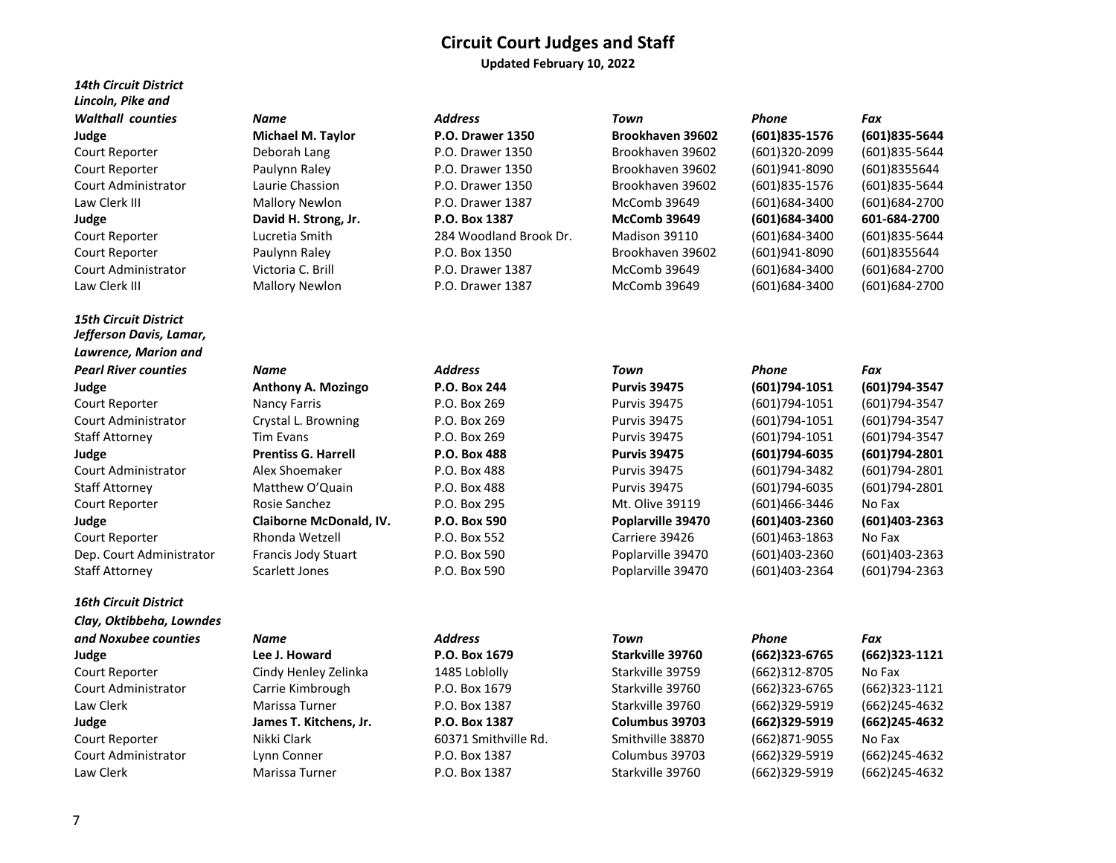**Updated February 10, 2022** 

| <b>14th Circuit District</b><br>Lincoln, Pike and |                       |                         |                     |                   |               |
|---------------------------------------------------|-----------------------|-------------------------|---------------------|-------------------|---------------|
| <b>Walthall counties</b>                          | Name                  | <b>Address</b>          | Town                | Phone             | Fax           |
| Judge                                             | Michael M. Taylor     | <b>P.O. Drawer 1350</b> | Brookhaven 39602    | (601)835-1576     | (601)835-5644 |
| Court Reporter                                    | Deborah Lang          | P.O. Drawer 1350        | Brookhaven 39602    | (601)320-2099     | (601)835-5644 |
| Court Reporter                                    | Paulynn Raley         | P.O. Drawer 1350        | Brookhaven 39602    | (601)941-8090     | (601)8355644  |
| Court Administrator                               | Laurie Chassion       | P.O. Drawer 1350        | Brookhaven 39602    | (601)835-1576     | (601)835-5644 |
| Law Clerk III                                     | <b>Mallory Newlon</b> | P.O. Drawer 1387        | McComb 39649        | (601)684-3400     | (601)684-2700 |
| Judge                                             | David H. Strong, Jr.  | P.O. Box 1387           | <b>McComb 39649</b> | (601) 684-3400    | 601-684-2700  |
| Court Reporter                                    | Lucretia Smith        | 284 Woodland Brook Dr.  | Madison 39110       | (601)684-3400     | (601)835-5644 |
| Court Reporter                                    | Paulynn Raley         | P.O. Box 1350           | Brookhaven 39602    | (601)941-8090     | (601)8355644  |
| <b>Court Administrator</b>                        | Victoria C. Brill     | P.O. Drawer 1387        | McComb 39649        | $(601)684 - 3400$ | (601)684-2700 |
| Law Clerk III                                     | <b>Mallory Newlon</b> | P.O. Drawer 1387        | McComb 39649        | (601)684-3400     | (601)684-2700 |

*15th Circuit District Jefferson Davis, Lamar, Lawrence, Marion and 16th Circuit District Clay, Oktibbeha, Lowndes and Noxubee counties Name Address Town Phone Fax*

# Court Reporter Cindy Henley Zelinka 1485 Loblolly Starkville 39759 (662) Court Reporter **Nikki Clark** 60371 Smithville Rd. Smithville 38870 (662)

| <b>Pearl River counties</b> | Name                       | <b>Address</b> | Town                | Phone             | Fax            |
|-----------------------------|----------------------------|----------------|---------------------|-------------------|----------------|
| Judge                       | <b>Anthony A. Mozingo</b>  | P.O. Box 244   | <b>Purvis 39475</b> | (601)794-1051     | (601)794-3547  |
| Court Reporter              | Nancy Farris               | P.O. Box 269   | <b>Purvis 39475</b> | $(601)794-1051$   | (601) 794-3547 |
| Court Administrator         | Crystal L. Browning        | P.O. Box 269   | <b>Purvis 39475</b> | $(601)794-1051$   | (601) 794-3547 |
| <b>Staff Attorney</b>       | Tim Evans                  | P.O. Box 269   | <b>Purvis 39475</b> | (601) 794-1051    | (601) 794-3547 |
| Judge                       | <b>Prentiss G. Harrell</b> | P.O. Box 488   | <b>Purvis 39475</b> | (601)794-6035     | (601)794-2801  |
| Court Administrator         | Alex Shoemaker             | P.O. Box 488   | <b>Purvis 39475</b> | (601)794-3482     | (601) 794-2801 |
| <b>Staff Attorney</b>       | Matthew O'Quain            | P.O. Box 488   | <b>Purvis 39475</b> | (601)794-6035     | (601)794-2801  |
| Court Reporter              | Rosie Sanchez              | P.O. Box 295   | Mt. Olive 39119     | (601)466-3446     | No Fax         |
| Judge                       | Claiborne McDonald, IV.    | P.O. Box 590   | Poplarville 39470   | $(601)403 - 2360$ | (601)403-2363  |
| Court Reporter              | Rhonda Wetzell             | P.O. Box 552   | Carriere 39426      | $(601)463-1863$   | No Fax         |
| Dep. Court Administrator    | Francis Jody Stuart        | P.O. Box 590   | Poplarville 39470   | (601)403-2360     | (601)403-2363  |
| <b>Staff Attorney</b>       | Scarlett Jones             | P.O. Box 590   | Poplarville 39470   | (601)403-2364     | (601)794-2363  |

Law Clerk Marissa Turner P.O. Box 1387 Starkville 39760 (662)329-5919 (662)245-4632

| Laurie Chassion       | P.O. Drawer 1350       | Brookhaven 39602    | (601)835-1576  | (601)835-5644 |
|-----------------------|------------------------|---------------------|----------------|---------------|
| Mallory Newlon        | P.O. Drawer 1387       | McComb 39649        | (601)684-3400  | (601)684-2700 |
| David H. Strong, Jr.  | P.O. Box 1387          | <b>McComb 39649</b> | (601) 684-3400 | 601-684-2700  |
| Lucretia Smith        | 284 Woodland Brook Dr. | Madison 39110       | (601)684-3400  | (601)835-5644 |
| Paulynn Raley         | P.O. Box 1350          | Brookhaven 39602    | (601)941-8090  | (601)8355644  |
| Victoria C. Brill     | P.O. Drawer 1387       | McComb 39649        | (601)684-3400  | (601)684-2700 |
| <b>Mallory Newlon</b> | P.O. Drawer 1387       | McComb 39649        | (601)684-3400  | (601)684-2700 |
|                       |                        |                     |                |               |
|                       |                        |                     |                |               |

# Law Clerk III Mallory Newlon P.O. Drawer 1387 McComb 39649 (601)684-3400 (601)684-2700

| CHAY, UNLINUCIIU, LUWIIUCS |                        |                      |                  |               |                 |
|----------------------------|------------------------|----------------------|------------------|---------------|-----------------|
| and Noxubee counties       | Name                   | <b>Address</b>       | Town             | Phone         | Fax             |
| Judge                      | Lee J. Howard          | P.O. Box 1679        | Starkville 39760 | (662)323-6765 | $(662)323-1121$ |
| Court Reporter             | Cindy Henley Zelinka   | 1485 Loblolly        | Starkville 39759 | (662)312-8705 | No Fax          |
| Court Administrator        | Carrie Kimbrough       | P.O. Box 1679        | Starkville 39760 | (662)323-6765 | $(662)323-1121$ |
| Law Clerk                  | Marissa Turner         | P.O. Box 1387        | Starkville 39760 | (662)329-5919 | (662)245-4632   |
| Judge                      | James T. Kitchens, Jr. | P.O. Box 1387        | Columbus 39703   | (662)329-5919 | (662)245-4632   |
| Court Reporter             | Nikki Clark            | 60371 Smithville Rd. | Smithville 38870 | (662)871-9055 | No Fax          |
| Court Administrator        | Lynn Conner            | P.O. Box 1387        | Columbus 39703   | (662)329-5919 | (662)245-4632   |
|                            |                        |                      |                  |               |                 |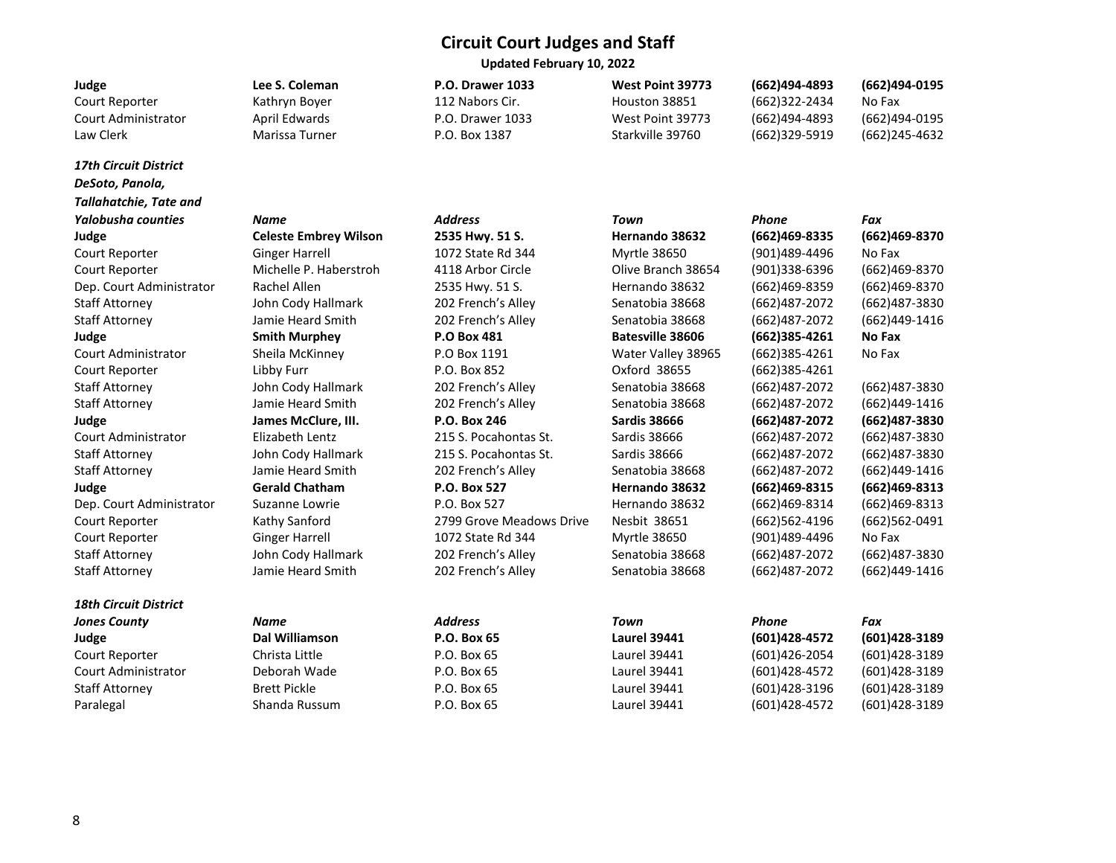**Updated February 10, 2022** 

| Judge                         | Lee S. Coleman               | <b>P.O. Drawer 1033</b>  | West Point 39773        | (662)494-4893     | (662)494-0195    |
|-------------------------------|------------------------------|--------------------------|-------------------------|-------------------|------------------|
| Court Reporter                | Kathryn Boyer                | 112 Nabors Cir.          | Houston 38851           | (662)322-2434     | No Fax           |
| <b>Court Administrator</b>    | April Edwards                | P.O. Drawer 1033         | West Point 39773        | (662)494-4893     | (662)494-0195    |
| Law Clerk                     | Marissa Turner               | P.O. Box 1387            | Starkville 39760        | (662)329-5919     | (662)245-4632    |
| <b>17th Circuit District</b>  |                              |                          |                         |                   |                  |
| DeSoto, Panola,               |                              |                          |                         |                   |                  |
| <b>Tallahatchie, Tate and</b> |                              |                          |                         |                   |                  |
| <b>Yalobusha counties</b>     | Name                         | <b>Address</b>           | Town                    | Phone             | Fax              |
| Judge                         | <b>Celeste Embrey Wilson</b> | 2535 Hwy. 51 S.          | Hernando 38632          | (662)469-8335     | (662)469-8370    |
| Court Reporter                | <b>Ginger Harrell</b>        | 1072 State Rd 344        | Myrtle 38650            | (901)489-4496     | No Fax           |
| Court Reporter                | Michelle P. Haberstroh       | 4118 Arbor Circle        | Olive Branch 38654      | (901)338-6396     | (662)469-8370    |
| Dep. Court Administrator      | Rachel Allen                 | 2535 Hwy. 51 S.          | Hernando 38632          | (662)469-8359     | (662)469-8370    |
| <b>Staff Attorney</b>         | John Cody Hallmark           | 202 French's Alley       | Senatobia 38668         | (662)487-2072     | (662)487-3830    |
| <b>Staff Attorney</b>         | Jamie Heard Smith            | 202 French's Alley       | Senatobia 38668         | (662)487-2072     | (662)449-1416    |
| Judge                         | <b>Smith Murphey</b>         | P.O Box 481              | <b>Batesville 38606</b> | (662)385-4261     | No Fax           |
| Court Administrator           | Sheila McKinney              | P.O Box 1191             | Water Valley 38965      | $(662)385 - 4261$ | No Fax           |
| Court Reporter                | Libby Furr                   | P.O. Box 852             | Oxford 38655            | (662)385-4261     |                  |
| <b>Staff Attorney</b>         | John Cody Hallmark           | 202 French's Alley       | Senatobia 38668         | (662)487-2072     | (662)487-3830    |
| <b>Staff Attorney</b>         | Jamie Heard Smith            | 202 French's Alley       | Senatobia 38668         | (662)487-2072     | (662)449-1416    |
| Judge                         | James McClure. III.          | P.O. Box 246             | <b>Sardis 38666</b>     | (662)487-2072     | (662)487-3830    |
| Court Administrator           | Elizabeth Lentz              | 215 S. Pocahontas St.    | <b>Sardis 38666</b>     | (662)487-2072     | (662)487-3830    |
| <b>Staff Attorney</b>         | John Cody Hallmark           | 215 S. Pocahontas St.    | <b>Sardis 38666</b>     | (662)487-2072     | (662)487-3830    |
| <b>Staff Attorney</b>         | Jamie Heard Smith            | 202 French's Alley       | Senatobia 38668         | (662)487-2072     | (662)449-1416    |
| Judge                         | <b>Gerald Chatham</b>        | P.O. Box 527             | Hernando 38632          | (662)469-8315     | (662)469-8313    |
| Dep. Court Administrator      | Suzanne Lowrie               | P.O. Box 527             | Hernando 38632          | (662)469-8314     | $(662)469-8313$  |
| Court Reporter                | Kathy Sanford                | 2799 Grove Meadows Drive | Nesbit 38651            | (662)562-4196     | $(662)$ 562-0491 |
| Court Reporter                | <b>Ginger Harrell</b>        | 1072 State Rd 344        | Myrtle 38650            | (901)489-4496     | No Fax           |
| <b>Staff Attorney</b>         | John Cody Hallmark           | 202 French's Alley       | Senatobia 38668         | (662)487-2072     | (662)487-3830    |
| <b>Staff Attorney</b>         | Jamie Heard Smith            | 202 French's Alley       | Senatobia 38668         | (662)487-2072     | (662)449-1416    |
| <b>18th Circuit District</b>  |                              |                          |                         |                   |                  |
| <b>Jones County</b>           | <b>Name</b>                  | <b>Address</b>           | Town                    | Phone             | Fax              |
| Judge                         | <b>Dal Williamson</b>        | P.O. Box 65              | <b>Laurel 39441</b>     | (601)428-4572     | (601)428-3189    |
| Court Reporter                | Christa Little               | P.O. Box 65              | Laurel 39441            | (601)426-2054     | (601)428-3189    |
| <b>Court Administrator</b>    | Deborah Wade                 | P.O. Box 65              | <b>Laurel 39441</b>     | (601)428-4572     | (601)428-3189    |
| <b>Staff Attorney</b>         | Brett Pickle                 | P.O. Box 65              | Laurel 39441            | (601)428-3196     | (601)428-3189    |
| Paralegal                     | Shanda Russum                | P.O. Box 65              | <b>Laurel 39441</b>     | (601)428-4572     | (601)428-3189    |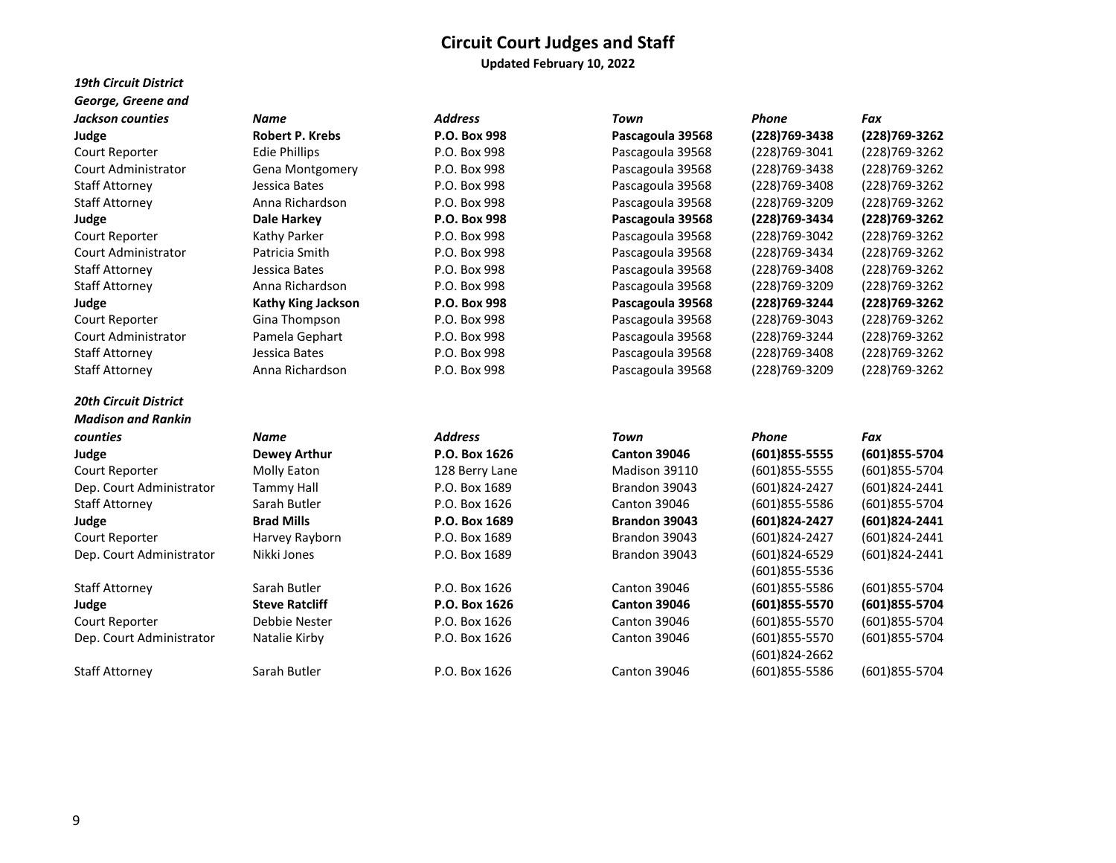**Updated February 10, 2022** 

| <b>19th Circuit District</b> |
|------------------------------|
| George, Greene and           |
| <b>Jackson counties</b>      |
| Judge                        |
| Court Reporter               |
| <b>Court Administrator</b>   |
| <b>Staff Attorney</b>        |
| <b>Staff Attorney</b>        |
| Judge                        |
| Court Reporter               |
| <b>Court Administrator</b>   |
| Staff Attorney               |
| <b>Staff Attorney</b>        |
| Judge                        |
| Court Reporter               |
| Court Administrator          |
| <b>Staff Attorney</b>        |
| <b>Staff Attorney</b>        |
|                              |

# *20th Circuit District Madison and Rankin*  Dep. Court Administrator Tammy Hall P.O. Box 1689 Brandon 31

# Dep. Court Administrator Nikki Jones P.O. Box 1689 Brandon 31

# Dep. Court Administrator Matalie Kirby P.O. Box 1626 Canton 30046 (601)

| Name                      |  |
|---------------------------|--|
| Robert P. Krebs           |  |
| Edie Phillips             |  |
| Gena Montgomery           |  |
| Jessica Bates             |  |
| Anna Richardson           |  |
| Dale Harkey               |  |
| Kathy Parker              |  |
| Patricia Smith            |  |
| Jessica Bates             |  |
| Anna Richardson           |  |
| <b>Kathy King Jackson</b> |  |
| Gina Thompson             |  |
| Pamela Gephart            |  |
| Jessica Bates             |  |
| Anna Richardcon           |  |

| Jackson counties    | Name                      | <b>Address</b> | Town             | Phone             | Fax            |
|---------------------|---------------------------|----------------|------------------|-------------------|----------------|
| Judge               | Robert P. Krebs           | P.O. Box 998   | Pascagoula 39568 | $(228)769 - 3438$ | (228) 769-3262 |
| Court Reporter      | Edie Phillips             | P.O. Box 998   | Pascagoula 39568 | (228)769-3041     | (228) 769-3262 |
| Court Administrator | <b>Gena Montgomery</b>    | P.O. Box 998   | Pascagoula 39568 | (228)769-3438     | (228) 769-3262 |
| Staff Attornev      | Jessica Bates             | P.O. Box 998   | Pascagoula 39568 | (228)769-3408     | (228) 769-3262 |
| Staff Attorney      | Anna Richardson           | P.O. Box 998   | Pascagoula 39568 | (228)769-3209     | (228) 769-3262 |
| Judge               | Dale Harkey               | P.O. Box 998   | Pascagoula 39568 | (228)769-3434     | (228) 769-3262 |
| Court Reporter      | Kathy Parker              | P.O. Box 998   | Pascagoula 39568 | (228)769-3042     | (228) 769-3262 |
| Court Administrator | Patricia Smith            | P.O. Box 998   | Pascagoula 39568 | (228)769-3434     | (228) 769-3262 |
| Staff Attorney      | Jessica Bates             | P.O. Box 998   | Pascagoula 39568 | (228)769-3408     | (228) 769-3262 |
| Staff Attornev      | Anna Richardson           | P.O. Box 998   | Pascagoula 39568 | (228)769-3209     | (228) 769-3262 |
| Judge               | <b>Kathy King Jackson</b> | P.O. Box 998   | Pascagoula 39568 | (228)769-3244     | (228) 769-3262 |
| Court Reporter      | Gina Thompson             | P.O. Box 998   | Pascagoula 39568 | (228)769-3043     | (228) 769-3262 |
| Court Administrator | Pamela Gephart            | P.O. Box 998   | Pascagoula 39568 | (228)769-3244     | (228) 769-3262 |
| Staff Attorney      | Jessica Bates             | P.O. Box 998   | Pascagoula 39568 | (228)769-3408     | (228) 769-3262 |
| Staff Attorney      | Anna Richardson           | P.O. Box 998   | Pascagoula 39568 | (228)769-3209     | (228)769-3262  |

| counties                 | Name                  | <b>Address</b> | Town                | Phone             | Fax            |
|--------------------------|-----------------------|----------------|---------------------|-------------------|----------------|
| Judge                    | Dewey Arthur          | P.O. Box 1626  | <b>Canton 39046</b> | $(601)855 - 5555$ | (601)855-5704  |
| Court Reporter           | Molly Eaton           | 128 Berry Lane | Madison 39110       | $(601)855 - 5555$ | (601)855-5704  |
| Dep. Court Administrator | Tammy Hall            | P.O. Box 1689  | Brandon 39043       | (601)824-2427     | (601)824-2441  |
| Staff Attorney           | Sarah Butler          | P.O. Box 1626  | <b>Canton 39046</b> | (601)855-5586     | (601)855-5704  |
| Judge                    | <b>Brad Mills</b>     | P.O. Box 1689  | Brandon 39043       | (601)824-2427     | (601)824-2441  |
| Court Reporter           | Harvey Rayborn        | P.O. Box 1689  | Brandon 39043       | (601)824-2427     | (601)824-2441  |
| Dep. Court Administrator | Nikki Jones           | P.O. Box 1689  | Brandon 39043       | (601)824-6529     | (601)824-2441  |
|                          |                       |                |                     | (601)855-5536     |                |
| Staff Attorney           | Sarah Butler          | P.O. Box 1626  | <b>Canton 39046</b> | (601)855-5586     | (601) 855-5704 |
| Judge                    | <b>Steve Ratcliff</b> | P.O. Box 1626  | <b>Canton 39046</b> | (601)855-5570     | (601)855-5704  |
| Court Reporter           | Debbie Nester         | P.O. Box 1626  | Canton 39046        | (601)855-5570     | (601)855-5704  |
| Dep. Court Administrator | Natalie Kirby         | P.O. Box 1626  | <b>Canton 39046</b> | (601)855-5570     | (601)855-5704  |
|                          |                       |                |                     | (601)824-2662     |                |
| Staff Attorney           | Sarah Butler          | P.O. Box 1626  | <b>Canton 39046</b> | (601)855-5586     | (601)855-5704  |
|                          |                       |                |                     |                   |                |